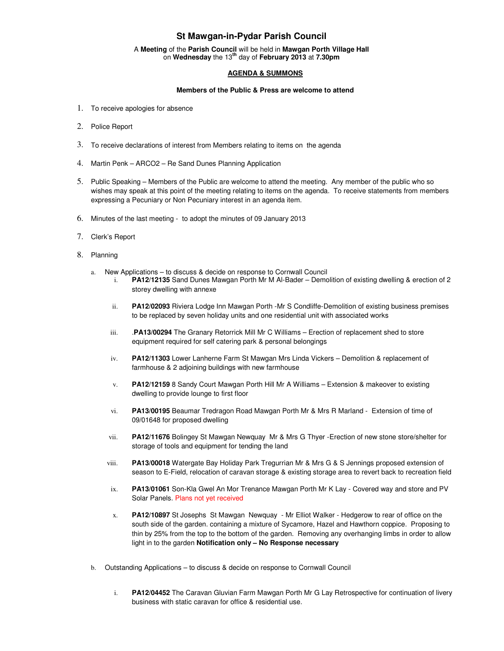# **St Mawgan-in-Pydar Parish Council**

A **Meeting** of the **Parish Council** will be held in **Mawgan Porth Village Hall** on **Wednesday** the 13**th** day of **February 2013** at **7.30pm** 

## **AGENDA & SUMMONS**

### **Members of the Public & Press are welcome to attend**

- 1. To receive apologies for absence
- 2. Police Report
- 3. To receive declarations of interest from Members relating to items on the agenda
- 4. Martin Penk ARCO2 Re Sand Dunes Planning Application
- 5. Public Speaking Members of the Public are welcome to attend the meeting. Any member of the public who so wishes may speak at this point of the meeting relating to items on the agenda. To receive statements from members expressing a Pecuniary or Non Pecuniary interest in an agenda item.
- 6. Minutes of the last meeting to adopt the minutes of 09 January 2013
- 7. Clerk's Report
- 8. Planning
	- a. New Applications to discuss & decide on response to Cornwall Council
		- i. **PA12/12135** Sand Dunes Mawgan Porth Mr M Al-Bader Demolition of existing dwelling & erection of 2 storey dwelling with annexe
		- ii. **PA12/02093** Riviera Lodge Inn Mawgan Porth -Mr S Condliffe-Demolition of existing business premises to be replaced by seven holiday units and one residential unit with associated works
		- iii. .**PA13/00294** The Granary Retorrick Mill Mr C Williams Erection of replacement shed to store equipment required for self catering park & personal belongings
		- iv. **PA12/11303** Lower Lanherne Farm St Mawgan Mrs Linda Vickers Demolition & replacement of farmhouse & 2 adjoining buildings with new farmhouse
		- v. **PA12/12159** 8 Sandy Court Mawgan Porth Hill Mr A Williams Extension & makeover to existing dwelling to provide lounge to first floor
		- vi. **PA13/00195** Beaumar Tredragon Road Mawgan Porth Mr & Mrs R Marland Extension of time of 09/01648 for proposed dwelling
		- vii. **PA12/11676** Bolingey St Mawgan Newquay Mr & Mrs G Thyer -Erection of new stone store/shelter for storage of tools and equipment for tending the land
		- viii. **PA13/00018** Watergate Bay Holiday Park Tregurrian Mr & Mrs G & S Jennings proposed extension of season to E-Field, relocation of caravan storage & existing storage area to revert back to recreation field
		- ix. **PA13/01061** Son-Kla Gwel An Mor Trenance Mawgan Porth Mr K Lay Covered way and store and PV Solar Panels. Plans not yet received
		- x. **PA12/10897** St Josephs St Mawgan Newquay Mr Elliot Walker Hedgerow to rear of office on the south side of the garden. containing a mixture of Sycamore, Hazel and Hawthorn coppice. Proposing to thin by 25% from the top to the bottom of the garden. Removing any overhanging limbs in order to allow light in to the garden **Notification only – No Response necessary**
	- b. Outstanding Applications to discuss & decide on response to Cornwall Council
		- i. **PA12/04452** The Caravan Gluvian Farm Mawgan Porth Mr G Lay Retrospective for continuation of livery business with static caravan for office & residential use.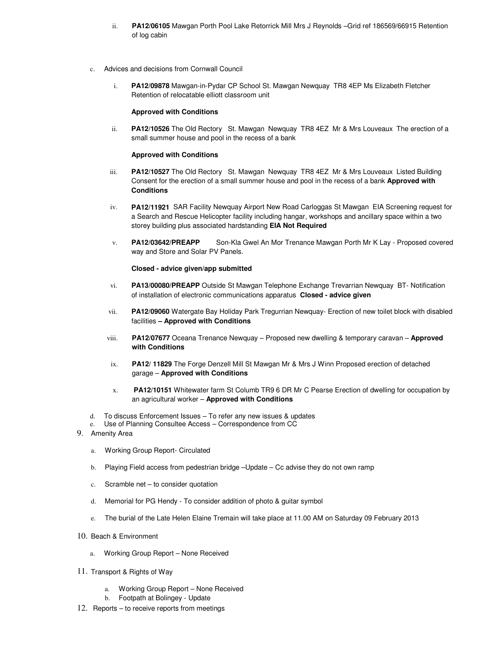- ii. **PA12/06105** Mawgan Porth Pool Lake Retorrick Mill Mrs J Reynolds –Grid ref 186569/66915 Retention of log cabin
- Advices and decisions from Cornwall Council
	- i. **PA12/09878** Mawgan-in-Pydar CP School St. Mawgan Newquay TR8 4EP Ms Elizabeth Fletcher Retention of relocatable elliott classroom unit

#### **Approved with Conditions**

ii. **PA12/10526** The Old Rectory St. Mawgan Newquay TR8 4EZ Mr & Mrs Louveaux The erection of a small summer house and pool in the recess of a bank

#### **Approved with Conditions**

- iii. **PA12/10527** The Old Rectory St. Mawgan Newquay TR8 4EZ Mr & Mrs Louveaux Listed Building Consent for the erection of a small summer house and pool in the recess of a bank **Approved with Conditions**
- iv. **PA12/11921** SAR Facility Newquay Airport New Road Carloggas St Mawgan EIA Screening request for a Search and Rescue Helicopter facility including hangar, workshops and ancillary space within a two storey building plus associated hardstanding **EIA Not Required**
- v. **PA12/03642/PREAPP** Son-Kla Gwel An Mor Trenance Mawgan Porth Mr K Lay Proposed covered way and Store and Solar PV Panels.

#### **Closed - advice given/app submitted**

- vi. **PA13/00080/PREAPP** Outside St Mawgan Telephone Exchange Trevarrian Newquay BT- Notification of installation of electronic communications apparatus **Closed - advice given**
- vii. **PA12/09060** Watergate Bay Holiday Park Tregurrian Newquay- Erection of new toilet block with disabled facilities **– Approved with Conditions**
- viii. **PA12/07677** Oceana Trenance Newquay Proposed new dwelling & temporary caravan **Approved with Conditions**
- ix. **PA12/ 11829** The Forge Denzell Mill St Mawgan Mr & Mrs J Winn Proposed erection of detached garage – **Approved with Conditions**
- x. **PA12/10151** Whitewater farm St Columb TR9 6 DR Mr C Pearse Erection of dwelling for occupation by an agricultural worker – **Approved with Conditions**
- d. To discuss Enforcement Issues To refer any new issues & updates
- e. Use of Planning Consultee Access Correspondence from CC
- 9. Amenity Area
	- a. Working Group Report- Circulated
	- b. Playing Field access from pedestrian bridge –Update Cc advise they do not own ramp
	- c. Scramble net to consider quotation
	- d. Memorial for PG Hendy To consider addition of photo & guitar symbol
	- e. The burial of the Late Helen Elaine Tremain will take place at 11.00 AM on Saturday 09 February 2013
- 10. Beach & Environment
	- a. Working Group Report None Received
- 11. Transport & Rights of Way
	- a. Working Group Report None Received
	- b. Footpath at Bolingey Update
- 12. Reports to receive reports from meetings